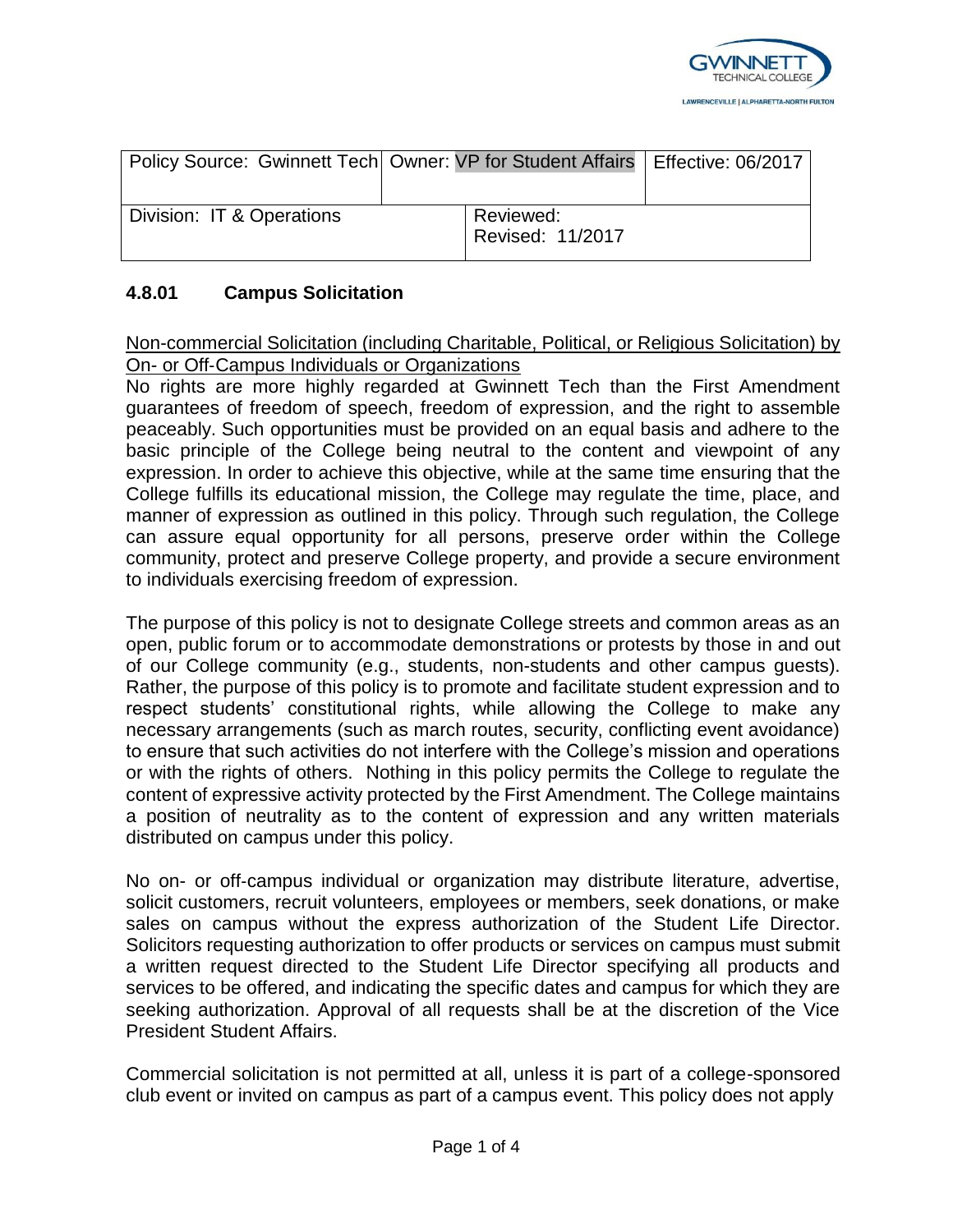

| Policy Source: Gwinnett Tech   Owner: VP for Student Affairs   Effective: 06/2017 |                               |  |
|-----------------------------------------------------------------------------------|-------------------------------|--|
| Division: IT & Operations                                                         | Reviewed:<br>Revised: 11/2017 |  |

## **4.8.01 Campus Solicitation**

Non-commercial Solicitation (including Charitable, Political, or Religious Solicitation) by On- or Off‐Campus Individuals or Organizations

No rights are more highly regarded at Gwinnett Tech than the First Amendment guarantees of freedom of speech, freedom of expression, and the right to assemble peaceably. Such opportunities must be provided on an equal basis and adhere to the basic principle of the College being neutral to the content and viewpoint of any expression. In order to achieve this objective, while at the same time ensuring that the College fulfills its educational mission, the College may regulate the time, place, and manner of expression as outlined in this policy. Through such regulation, the College can assure equal opportunity for all persons, preserve order within the College community, protect and preserve College property, and provide a secure environment to individuals exercising freedom of expression.

The purpose of this policy is not to designate College streets and common areas as an open, public forum or to accommodate demonstrations or protests by those in and out of our College community (e.g., students, non-students and other campus guests). Rather, the purpose of this policy is to promote and facilitate student expression and to respect students' constitutional rights, while allowing the College to make any necessary arrangements (such as march routes, security, conflicting event avoidance) to ensure that such activities do not interfere with the College's mission and operations or with the rights of others. Nothing in this policy permits the College to regulate the content of expressive activity protected by the First Amendment. The College maintains a position of neutrality as to the content of expression and any written materials distributed on campus under this policy.

No on- or off-campus individual or organization may distribute literature, advertise, solicit customers, recruit volunteers, employees or members, seek donations, or make sales on campus without the express authorization of the Student Life Director. Solicitors requesting authorization to offer products or services on campus must submit a written request directed to the Student Life Director specifying all products and services to be offered, and indicating the specific dates and campus for which they are seeking authorization. Approval of all requests shall be at the discretion of the Vice President Student Affairs.

Commercial solicitation is not permitted at all, unless it is part of a college-sponsored club event or invited on campus as part of a campus event. This policy does not apply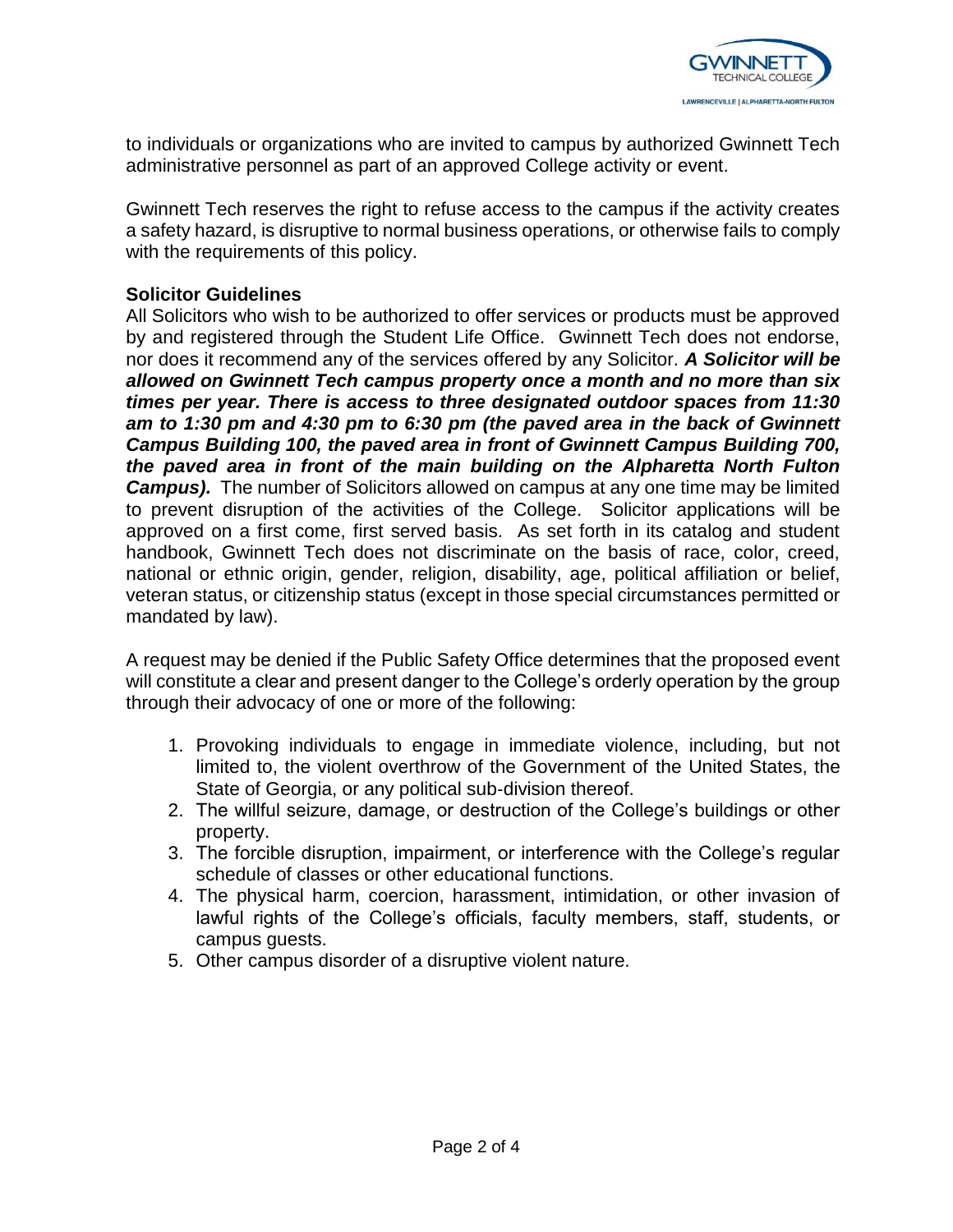

to individuals or organizations who are invited to campus by authorized Gwinnett Tech administrative personnel as part of an approved College activity or event.

Gwinnett Tech reserves the right to refuse access to the campus if the activity creates a safety hazard, is disruptive to normal business operations, or otherwise fails to comply with the requirements of this policy.

## **Solicitor Guidelines**

All Solicitors who wish to be authorized to offer services or products must be approved by and registered through the Student Life Office. Gwinnett Tech does not endorse, nor does it recommend any of the services offered by any Solicitor. *A Solicitor will be allowed on Gwinnett Tech campus property once a month and no more than six times per year. There is access to three designated outdoor spaces from 11:30 am to 1:30 pm and 4:30 pm to 6:30 pm (the paved area in the back of Gwinnett Campus Building 100, the paved area in front of Gwinnett Campus Building 700, the paved area in front of the main building on the Alpharetta North Fulton*  **Campus).** The number of Solicitors allowed on campus at any one time may be limited to prevent disruption of the activities of the College. Solicitor applications will be approved on a first come, first served basis. As set forth in its catalog and student handbook, Gwinnett Tech does not discriminate on the basis of race, color, creed, national or ethnic origin, gender, religion, disability, age, political affiliation or belief, veteran status, or citizenship status (except in those special circumstances permitted or mandated by law).

A request may be denied if the Public Safety Office determines that the proposed event will constitute a clear and present danger to the College's orderly operation by the group through their advocacy of one or more of the following:

- 1. Provoking individuals to engage in immediate violence, including, but not limited to, the violent overthrow of the Government of the United States, the State of Georgia, or any political sub-division thereof.
- 2. The willful seizure, damage, or destruction of the College's buildings or other property.
- 3. The forcible disruption, impairment, or interference with the College's regular schedule of classes or other educational functions.
- 4. The physical harm, coercion, harassment, intimidation, or other invasion of lawful rights of the College's officials, faculty members, staff, students, or campus guests.
- 5. Other campus disorder of a disruptive violent nature.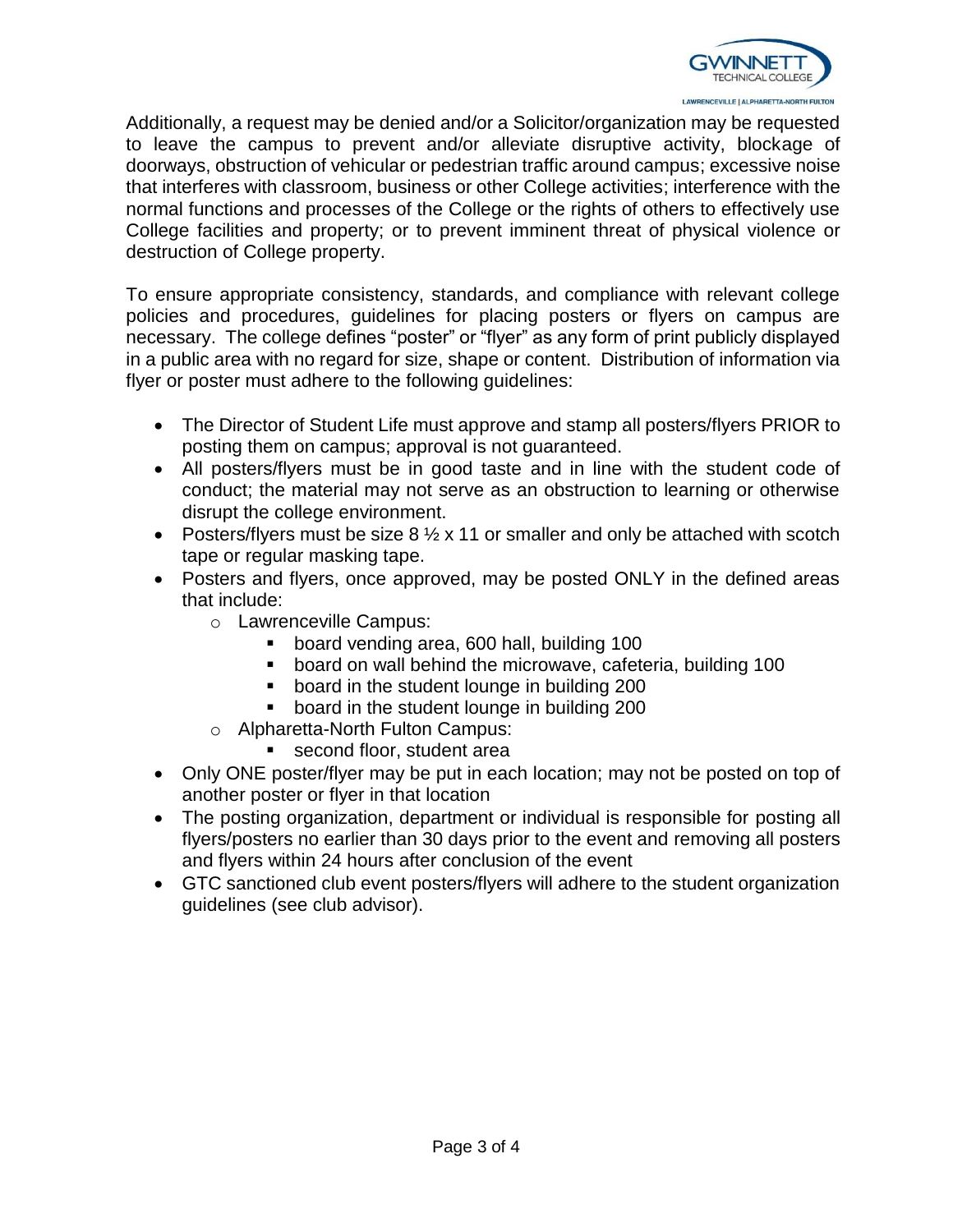

Additionally, a request may be denied and/or a Solicitor/organization may be requested to leave the campus to prevent and/or alleviate disruptive activity, blockage of doorways, obstruction of vehicular or pedestrian traffic around campus; excessive noise that interferes with classroom, business or other College activities; interference with the normal functions and processes of the College or the rights of others to effectively use College facilities and property; or to prevent imminent threat of physical violence or destruction of College property.

To ensure appropriate consistency, standards, and compliance with relevant college policies and procedures, guidelines for placing posters or flyers on campus are necessary. The college defines "poster" or "flyer" as any form of print publicly displayed in a public area with no regard for size, shape or content. Distribution of information via flyer or poster must adhere to the following guidelines:

- The Director of Student Life must approve and stamp all posters/flyers PRIOR to posting them on campus; approval is not guaranteed.
- All posters/flyers must be in good taste and in line with the student code of conduct; the material may not serve as an obstruction to learning or otherwise disrupt the college environment.
- Posters/flyers must be size  $8\frac{1}{2} \times 11$  or smaller and only be attached with scotch tape or regular masking tape.
- Posters and flyers, once approved, may be posted ONLY in the defined areas that include:
	- o Lawrenceville Campus:
		- board vending area, 600 hall, building 100
		- board on wall behind the microwave, cafeteria, building 100
		- board in the student lounge in building 200
		- board in the student lounge in building 200
	- o Alpharetta-North Fulton Campus:
		- **second floor, student areally**
- Only ONE poster/flyer may be put in each location; may not be posted on top of another poster or flyer in that location
- The posting organization, department or individual is responsible for posting all flyers/posters no earlier than 30 days prior to the event and removing all posters and flyers within 24 hours after conclusion of the event
- GTC sanctioned club event posters/flyers will adhere to the student organization guidelines (see club advisor).